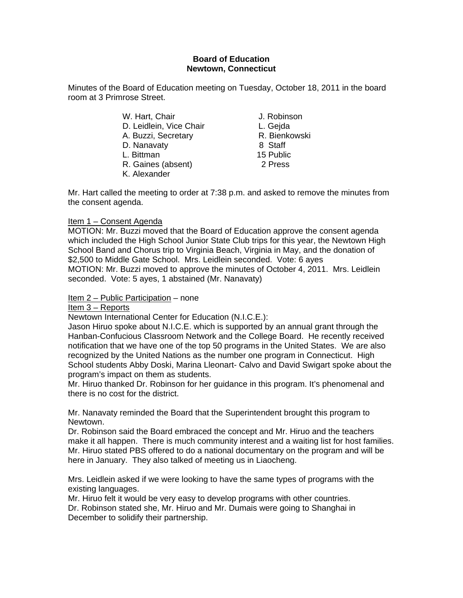## **Board of Education Newtown, Connecticut**

Minutes of the Board of Education meeting on Tuesday, October 18, 2011 in the board room at 3 Primrose Street.

> W. Hart, Chair **J. Robinson** D. Leidlein, Vice Chair **L. Geida** A. Buzzi, Secretary **R. Bienkowski** D. Nanavaty 8 Staff L. Bittman 15 Public R. Gaines (absent) 2 Press K. Alexander

Mr. Hart called the meeting to order at 7:38 p.m. and asked to remove the minutes from the consent agenda.

# Item 1 – Consent Agenda

MOTION: Mr. Buzzi moved that the Board of Education approve the consent agenda which included the High School Junior State Club trips for this year, the Newtown High School Band and Chorus trip to Virginia Beach, Virginia in May, and the donation of \$2,500 to Middle Gate School. Mrs. Leidlein seconded. Vote: 6 ayes MOTION: Mr. Buzzi moved to approve the minutes of October 4, 2011. Mrs. Leidlein seconded. Vote: 5 ayes, 1 abstained (Mr. Nanavaty)

Item 2 – Public Participation – none

## Item 3 – Reports

Newtown International Center for Education (N.I.C.E.):

Jason Hiruo spoke about N.I.C.E. which is supported by an annual grant through the Hanban-Confucious Classroom Network and the College Board. He recently received notification that we have one of the top 50 programs in the United States. We are also recognized by the United Nations as the number one program in Connecticut. High School students Abby Doski, Marina Lleonart- Calvo and David Swigart spoke about the program's impact on them as students.

Mr. Hiruo thanked Dr. Robinson for her guidance in this program. It's phenomenal and there is no cost for the district.

Mr. Nanavaty reminded the Board that the Superintendent brought this program to Newtown.

Dr. Robinson said the Board embraced the concept and Mr. Hiruo and the teachers make it all happen. There is much community interest and a waiting list for host families. Mr. Hiruo stated PBS offered to do a national documentary on the program and will be here in January. They also talked of meeting us in Liaocheng.

Mrs. Leidlein asked if we were looking to have the same types of programs with the existing languages.

Mr. Hiruo felt it would be very easy to develop programs with other countries. Dr. Robinson stated she, Mr. Hiruo and Mr. Dumais were going to Shanghai in

December to solidify their partnership.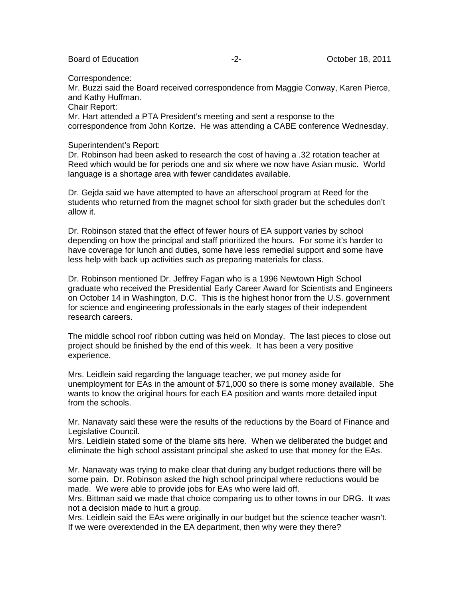Board of Education **-2-** Figure 2. **Details 18, 2011** 

Correspondence:

Mr. Buzzi said the Board received correspondence from Maggie Conway, Karen Pierce, and Kathy Huffman.

Chair Report:

Mr. Hart attended a PTA President's meeting and sent a response to the correspondence from John Kortze. He was attending a CABE conference Wednesday.

Superintendent's Report:

Dr. Robinson had been asked to research the cost of having a .32 rotation teacher at Reed which would be for periods one and six where we now have Asian music. World language is a shortage area with fewer candidates available.

Dr. Gejda said we have attempted to have an afterschool program at Reed for the students who returned from the magnet school for sixth grader but the schedules don't allow it.

Dr. Robinson stated that the effect of fewer hours of EA support varies by school depending on how the principal and staff prioritized the hours. For some it's harder to have coverage for lunch and duties, some have less remedial support and some have less help with back up activities such as preparing materials for class.

Dr. Robinson mentioned Dr. Jeffrey Fagan who is a 1996 Newtown High School graduate who received the Presidential Early Career Award for Scientists and Engineers on October 14 in Washington, D.C. This is the highest honor from the U.S. government for science and engineering professionals in the early stages of their independent research careers.

The middle school roof ribbon cutting was held on Monday. The last pieces to close out project should be finished by the end of this week. It has been a very positive experience.

Mrs. Leidlein said regarding the language teacher, we put money aside for unemployment for EAs in the amount of \$71,000 so there is some money available. She wants to know the original hours for each EA position and wants more detailed input from the schools.

Mr. Nanavaty said these were the results of the reductions by the Board of Finance and Legislative Council.

Mrs. Leidlein stated some of the blame sits here. When we deliberated the budget and eliminate the high school assistant principal she asked to use that money for the EAs.

Mr. Nanavaty was trying to make clear that during any budget reductions there will be some pain. Dr. Robinson asked the high school principal where reductions would be made. We were able to provide jobs for EAs who were laid off.

Mrs. Bittman said we made that choice comparing us to other towns in our DRG. It was not a decision made to hurt a group.

Mrs. Leidlein said the EAs were originally in our budget but the science teacher wasn't. If we were overextended in the EA department, then why were they there?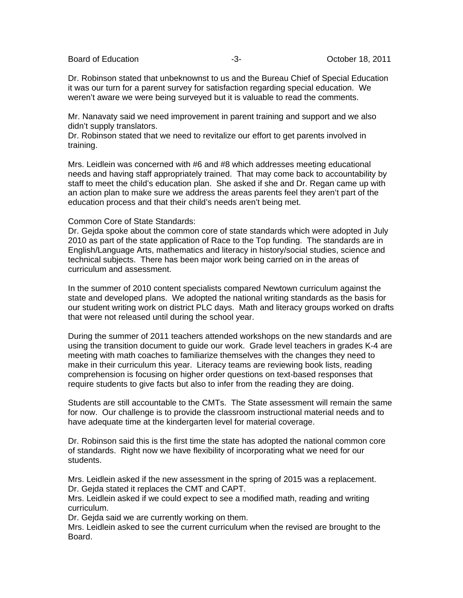Board of Education **-3**- All the second of Education **-3-** All the second of Education **-3**-

Dr. Robinson stated that unbeknownst to us and the Bureau Chief of Special Education it was our turn for a parent survey for satisfaction regarding special education. We weren't aware we were being surveyed but it is valuable to read the comments.

Mr. Nanavaty said we need improvement in parent training and support and we also didn't supply translators.

Dr. Robinson stated that we need to revitalize our effort to get parents involved in training.

Mrs. Leidlein was concerned with #6 and #8 which addresses meeting educational needs and having staff appropriately trained. That may come back to accountability by staff to meet the child's education plan. She asked if she and Dr. Regan came up with an action plan to make sure we address the areas parents feel they aren't part of the education process and that their child's needs aren't being met.

### Common Core of State Standards:

Dr. Gejda spoke about the common core of state standards which were adopted in July 2010 as part of the state application of Race to the Top funding. The standards are in English/Language Arts, mathematics and literacy in history/social studies, science and technical subjects. There has been major work being carried on in the areas of curriculum and assessment.

In the summer of 2010 content specialists compared Newtown curriculum against the state and developed plans. We adopted the national writing standards as the basis for our student writing work on district PLC days. Math and literacy groups worked on drafts that were not released until during the school year.

During the summer of 2011 teachers attended workshops on the new standards and are using the transition document to guide our work. Grade level teachers in grades K-4 are meeting with math coaches to familiarize themselves with the changes they need to make in their curriculum this year. Literacy teams are reviewing book lists, reading comprehension is focusing on higher order questions on text-based responses that require students to give facts but also to infer from the reading they are doing.

Students are still accountable to the CMTs. The State assessment will remain the same for now. Our challenge is to provide the classroom instructional material needs and to have adequate time at the kindergarten level for material coverage.

Dr. Robinson said this is the first time the state has adopted the national common core of standards. Right now we have flexibility of incorporating what we need for our students.

Mrs. Leidlein asked if the new assessment in the spring of 2015 was a replacement. Dr. Gejda stated it replaces the CMT and CAPT.

Mrs. Leidlein asked if we could expect to see a modified math, reading and writing curriculum.

Dr. Gejda said we are currently working on them.

Mrs. Leidlein asked to see the current curriculum when the revised are brought to the Board.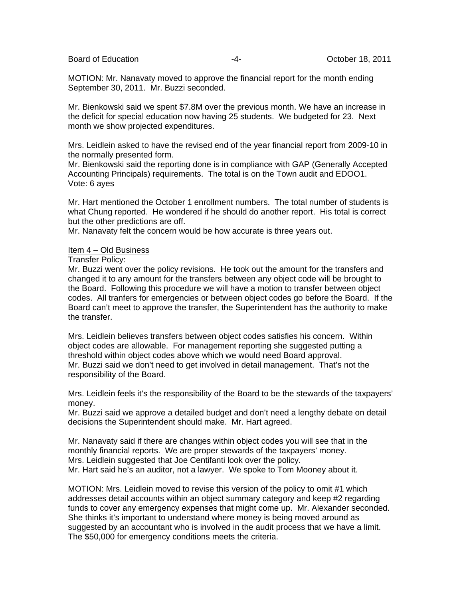Board of Education  $\overline{a}$  -4-  $\overline{a}$  October 18, 2011

MOTION: Mr. Nanavaty moved to approve the financial report for the month ending September 30, 2011. Mr. Buzzi seconded.

Mr. Bienkowski said we spent \$7.8M over the previous month. We have an increase in the deficit for special education now having 25 students. We budgeted for 23. Next month we show projected expenditures.

Mrs. Leidlein asked to have the revised end of the year financial report from 2009-10 in the normally presented form.

Mr. Bienkowski said the reporting done is in compliance with GAP (Generally Accepted Accounting Principals) requirements. The total is on the Town audit and EDOO1. Vote: 6 ayes

Mr. Hart mentioned the October 1 enrollment numbers. The total number of students is what Chung reported. He wondered if he should do another report. His total is correct but the other predictions are off.

Mr. Nanavaty felt the concern would be how accurate is three years out.

#### Item 4 – Old Business

#### Transfer Policy:

Mr. Buzzi went over the policy revisions. He took out the amount for the transfers and changed it to any amount for the transfers between any object code will be brought to the Board. Following this procedure we will have a motion to transfer between object codes. All tranfers for emergencies or between object codes go before the Board. If the Board can't meet to approve the transfer, the Superintendent has the authority to make the transfer.

Mrs. Leidlein believes transfers between object codes satisfies his concern. Within object codes are allowable. For management reporting she suggested putting a threshold within object codes above which we would need Board approval. Mr. Buzzi said we don't need to get involved in detail management. That's not the responsibility of the Board.

Mrs. Leidlein feels it's the responsibility of the Board to be the stewards of the taxpayers' money.

Mr. Buzzi said we approve a detailed budget and don't need a lengthy debate on detail decisions the Superintendent should make. Mr. Hart agreed.

Mr. Nanavaty said if there are changes within object codes you will see that in the monthly financial reports. We are proper stewards of the taxpayers' money. Mrs. Leidlein suggested that Joe Centifanti look over the policy. Mr. Hart said he's an auditor, not a lawyer. We spoke to Tom Mooney about it.

MOTION: Mrs. Leidlein moved to revise this version of the policy to omit #1 which addresses detail accounts within an object summary category and keep #2 regarding funds to cover any emergency expenses that might come up. Mr. Alexander seconded. She thinks it's important to understand where money is being moved around as suggested by an accountant who is involved in the audit process that we have a limit. The \$50,000 for emergency conditions meets the criteria.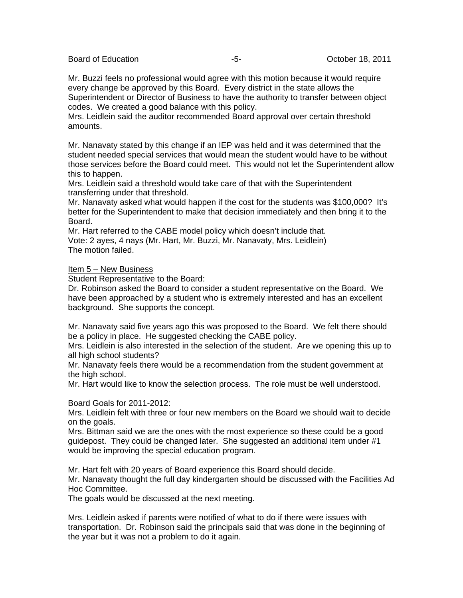Board of Education **-5-** All the second of Education **-5-** All the Second of Education **-5**-

Mr. Buzzi feels no professional would agree with this motion because it would require every change be approved by this Board. Every district in the state allows the Superintendent or Director of Business to have the authority to transfer between object codes. We created a good balance with this policy.

Mrs. Leidlein said the auditor recommended Board approval over certain threshold amounts.

Mr. Nanavaty stated by this change if an IEP was held and it was determined that the student needed special services that would mean the student would have to be without those services before the Board could meet. This would not let the Superintendent allow this to happen.

Mrs. Leidlein said a threshold would take care of that with the Superintendent transferring under that threshold.

Mr. Nanavaty asked what would happen if the cost for the students was \$100,000? It's better for the Superintendent to make that decision immediately and then bring it to the Board.

Mr. Hart referred to the CABE model policy which doesn't include that. Vote: 2 ayes, 4 nays (Mr. Hart, Mr. Buzzi, Mr. Nanavaty, Mrs. Leidlein) The motion failed.

### Item 5 – New Business

Student Representative to the Board:

Dr. Robinson asked the Board to consider a student representative on the Board. We have been approached by a student who is extremely interested and has an excellent background. She supports the concept.

Mr. Nanavaty said five years ago this was proposed to the Board. We felt there should be a policy in place. He suggested checking the CABE policy.

Mrs. Leidlein is also interested in the selection of the student. Are we opening this up to all high school students?

Mr. Nanavaty feels there would be a recommendation from the student government at the high school.

Mr. Hart would like to know the selection process. The role must be well understood.

Board Goals for 2011-2012:

Mrs. Leidlein felt with three or four new members on the Board we should wait to decide on the goals.

Mrs. Bittman said we are the ones with the most experience so these could be a good guidepost. They could be changed later. She suggested an additional item under #1 would be improving the special education program.

Mr. Hart felt with 20 years of Board experience this Board should decide.

Mr. Nanavaty thought the full day kindergarten should be discussed with the Facilities Ad Hoc Committee.

The goals would be discussed at the next meeting.

Mrs. Leidlein asked if parents were notified of what to do if there were issues with transportation. Dr. Robinson said the principals said that was done in the beginning of the year but it was not a problem to do it again.